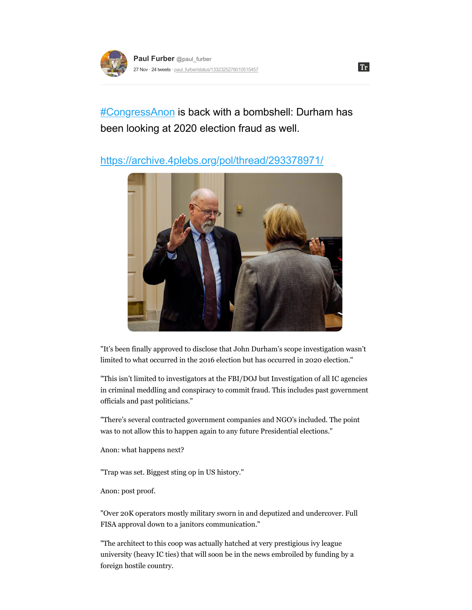

[#CongressAnon](https://threadreaderapp.com/hashtag/CongressAnon) is back with a bombshell: Durham has been looking at 2020 election fraud as well.

## <https://archive.4plebs.org/pol/thread/293378971/>



"It's been finally approved to disclose that John Durham's scope investigation wasn't limited to what occurred in the 2016 election but has occurred in 2020 election."

"This isn't limited to investigators at the FBI/DOJ but Investigation of all IC agencies in criminal meddling and conspiracy to commit fraud. This includes past government officials and past politicians."

"There's several contracted government companies and NGO's included. The point was to not allow this to happen again to any future Presidential elections."

Anon: what happens next?

"Trap was set. Biggest sting op in US history."

Anon: post proof.

"Over 20K operators mostly military sworn in and deputized and undercover. Full FISA approval down to a janitors communication."

"The architect to this coop was actually hatched at very prestigious ivy league university (heavy IC ties) that will soon be in the news embroiled by funding by a foreign hostile country.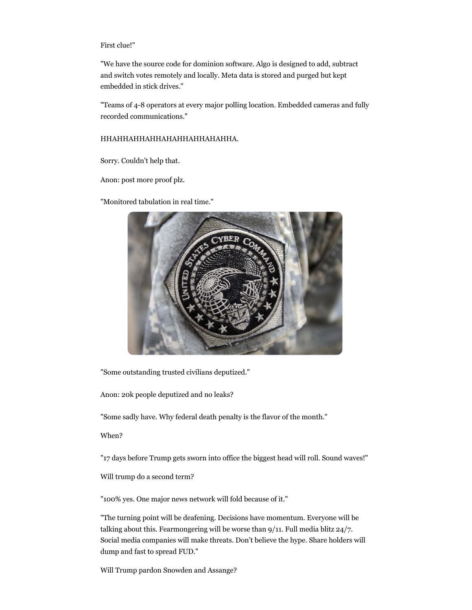## First clue!"

"We have the source code for dominion software. Algo is designed to add, subtract and switch votes remotely and locally. Meta data is stored and purged but kept embedded in stick drives."

"Teams of 4-8 operators at every major polling location. Embedded cameras and fully recorded communications."

## HHAHHAHHAHHAHAHHAHHAHAHHA.

Sorry. Couldn't help that.

Anon: post more proof plz.

"Monitored tabulation in real time."



"Some outstanding trusted civilians deputized."

Anon: 20k people deputized and no leaks?

"Some sadly have. Why federal death penalty is the flavor of the month."

When?

"17 days before Trump gets sworn into office the biggest head will roll. Sound waves!"

Will trump do a second term?

"100% yes. One major news network will fold because of it."

"The turning point will be deafening. Decisions have momentum. Everyone will be talking about this. Fearmongering will be worse than 9/11. Full media blitz 24/7. Social media companies will make threats. Don't believe the hype. Share holders will dump and fast to spread FUD."

Will Trump pardon Snowden and Assange?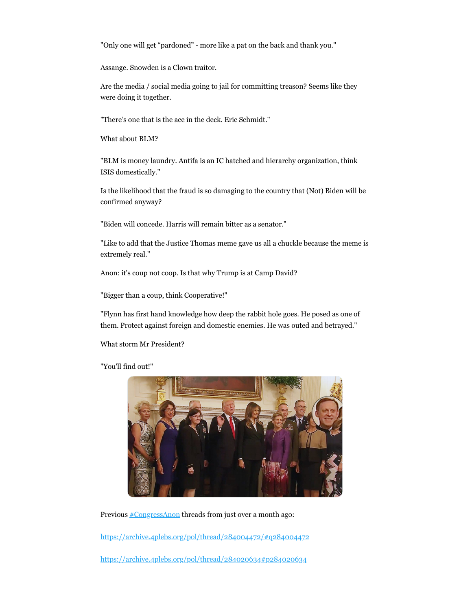"Only one will get "pardoned" - more like a pat on the back and thank you."

Assange. Snowden is a Clown traitor.

Are the media / social media going to jail for committing treason? Seems like they were doing it together.

"There's one that is the ace in the deck. Eric Schmidt."

What about BLM?

"BLM is money laundry. Antifa is an IC hatched and hierarchy organization, think ISIS domestically."

Is the likelihood that the fraud is so damaging to the country that (Not) Biden will be confirmed anyway?

"Biden will concede. Harris will remain bitter as a senator."

"Like to add that the Justice Thomas meme gave us all a chuckle because the meme is extremely real."

Anon: it's coup not coop. Is that why Trump is at Camp David?

"Bigger than a coup, think Cooperative!"

"Flynn has first hand knowledge how deep the rabbit hole goes. He posed as one of them. Protect against foreign and domestic enemies. He was outed and betrayed."

What storm Mr President?

"You'll find out!"



Previous **[#CongressAnon](https://threadreaderapp.com/hashtag/CongressAnon)** threads from just over a month ago:

<https://archive.4plebs.org/pol/thread/284004472/#q284004472>

<https://archive.4plebs.org/pol/thread/284020634#p284020634>